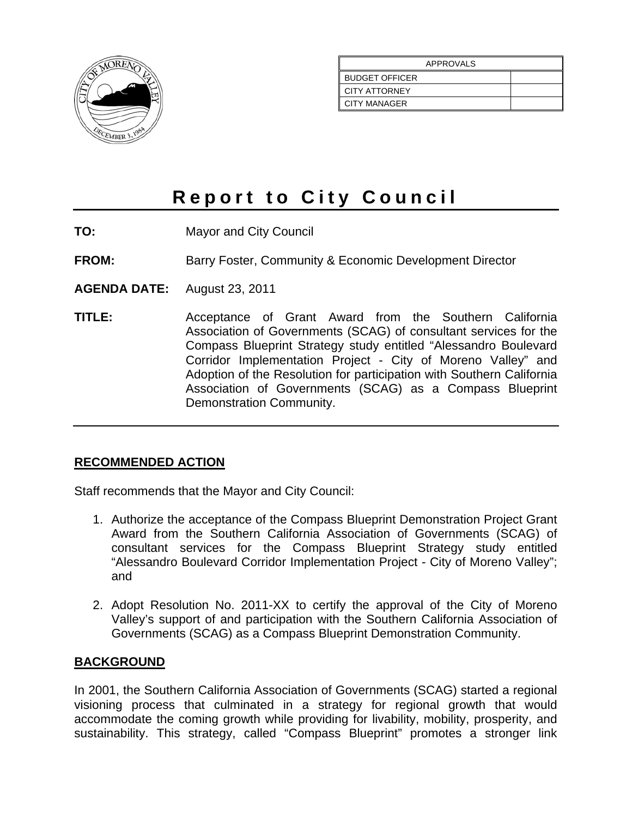

| <b>APPROVALS</b>      |  |  |
|-----------------------|--|--|
| <b>BUDGET OFFICER</b> |  |  |
| <b>CITY ATTORNEY</b>  |  |  |
| <b>CITY MANAGER</b>   |  |  |

# **Report to City Council**

- **TO:** Mayor and City Council
- **FROM:** Barry Foster, Community & Economic Development Director
- **AGENDA DATE:** August 23, 2011
- **TITLE:** Acceptance of Grant Award from the Southern California Association of Governments (SCAG) of consultant services for the Compass Blueprint Strategy study entitled "Alessandro Boulevard Corridor Implementation Project - City of Moreno Valley" and Adoption of the Resolution for participation with Southern California Association of Governments (SCAG) as a Compass Blueprint Demonstration Community.

#### **RECOMMENDED ACTION**

Staff recommends that the Mayor and City Council:

- 1. Authorize the acceptance of the Compass Blueprint Demonstration Project Grant Award from the Southern California Association of Governments (SCAG) of consultant services for the Compass Blueprint Strategy study entitled "Alessandro Boulevard Corridor Implementation Project - City of Moreno Valley"; and
- 2. Adopt Resolution No. 2011-XX to certify the approval of the City of Moreno Valley's support of and participation with the Southern California Association of Governments (SCAG) as a Compass Blueprint Demonstration Community.

#### **BACKGROUND**

In 2001, the Southern California Association of Governments (SCAG) started a regional visioning process that culminated in a strategy for regional growth that would accommodate the coming growth while providing for livability, mobility, prosperity, and sustainability. This strategy, called "Compass Blueprint" promotes a stronger link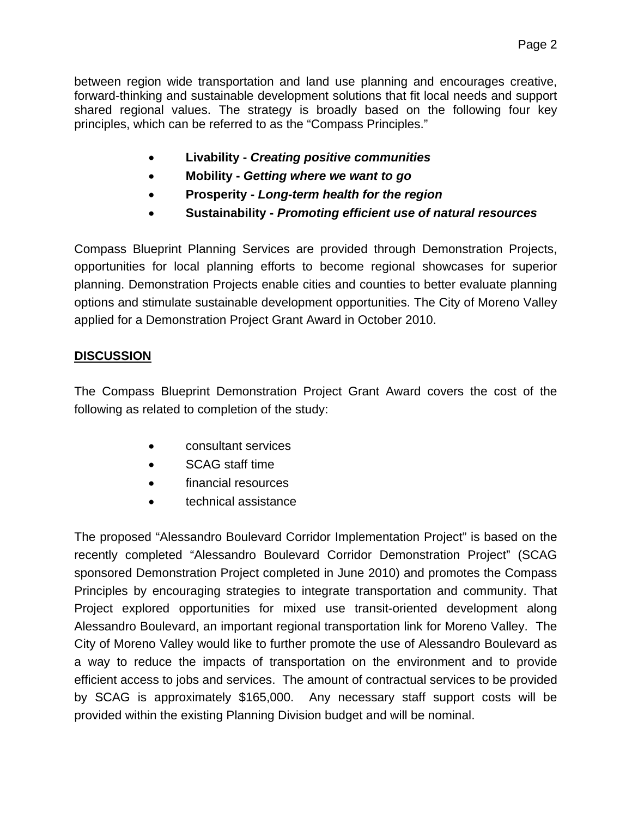between region wide transportation and land use planning and encourages creative, forward-thinking and sustainable development solutions that fit local needs and support shared regional values. The strategy is broadly based on the following four key principles, which can be referred to as the "Compass Principles."

- **Livability** *Creating positive communities*
- **Mobility** *Getting where we want to go*
- **Prosperity** *Long-term health for the region*
- **Sustainability** *Promoting efficient use of natural resources*

Compass Blueprint Planning Services are provided through Demonstration Projects, opportunities for local planning efforts to become regional showcases for superior planning. Demonstration Projects enable cities and counties to better evaluate planning options and stimulate sustainable development opportunities. The City of Moreno Valley applied for a Demonstration Project Grant Award in October 2010.

#### **DISCUSSION**

The Compass Blueprint Demonstration Project Grant Award covers the cost of the following as related to completion of the study:

- consultant services
- SCAG staff time
- financial resources
- technical assistance

The proposed "Alessandro Boulevard Corridor Implementation Project" is based on the recently completed "Alessandro Boulevard Corridor Demonstration Project" (SCAG sponsored Demonstration Project completed in June 2010) and promotes the Compass Principles by encouraging strategies to integrate transportation and community. That Project explored opportunities for mixed use transit-oriented development along Alessandro Boulevard, an important regional transportation link for Moreno Valley. The City of Moreno Valley would like to further promote the use of Alessandro Boulevard as a way to reduce the impacts of transportation on the environment and to provide efficient access to jobs and services. The amount of contractual services to be provided by SCAG is approximately \$165,000. Any necessary staff support costs will be provided within the existing Planning Division budget and will be nominal.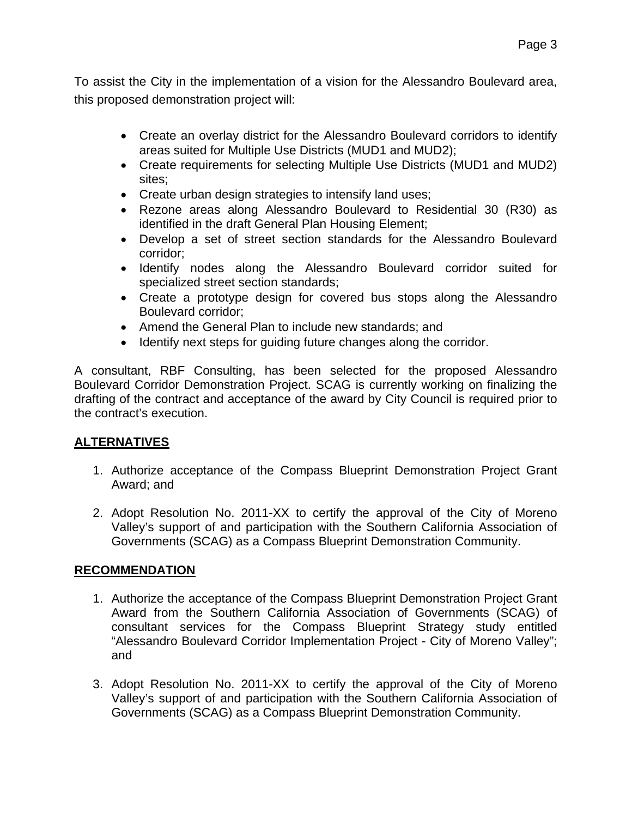To assist the City in the implementation of a vision for the Alessandro Boulevard area, this proposed demonstration project will:

- Create an overlay district for the Alessandro Boulevard corridors to identify areas suited for Multiple Use Districts (MUD1 and MUD2);
- Create requirements for selecting Multiple Use Districts (MUD1 and MUD2) sites;
- Create urban design strategies to intensify land uses;
- Rezone areas along Alessandro Boulevard to Residential 30 (R30) as identified in the draft General Plan Housing Element;
- Develop a set of street section standards for the Alessandro Boulevard corridor;
- Identify nodes along the Alessandro Boulevard corridor suited for specialized street section standards;
- Create a prototype design for covered bus stops along the Alessandro Boulevard corridor;
- Amend the General Plan to include new standards; and
- Identify next steps for quiding future changes along the corridor.

A consultant, RBF Consulting, has been selected for the proposed Alessandro Boulevard Corridor Demonstration Project. SCAG is currently working on finalizing the drafting of the contract and acceptance of the award by City Council is required prior to the contract's execution.

### **ALTERNATIVES**

- 1. Authorize acceptance of the Compass Blueprint Demonstration Project Grant Award; and
- 2. Adopt Resolution No. 2011-XX to certify the approval of the City of Moreno Valley's support of and participation with the Southern California Association of Governments (SCAG) as a Compass Blueprint Demonstration Community.

### **RECOMMENDATION**

- 1. Authorize the acceptance of the Compass Blueprint Demonstration Project Grant Award from the Southern California Association of Governments (SCAG) of consultant services for the Compass Blueprint Strategy study entitled "Alessandro Boulevard Corridor Implementation Project - City of Moreno Valley"; and
- 3. Adopt Resolution No. 2011-XX to certify the approval of the City of Moreno Valley's support of and participation with the Southern California Association of Governments (SCAG) as a Compass Blueprint Demonstration Community.